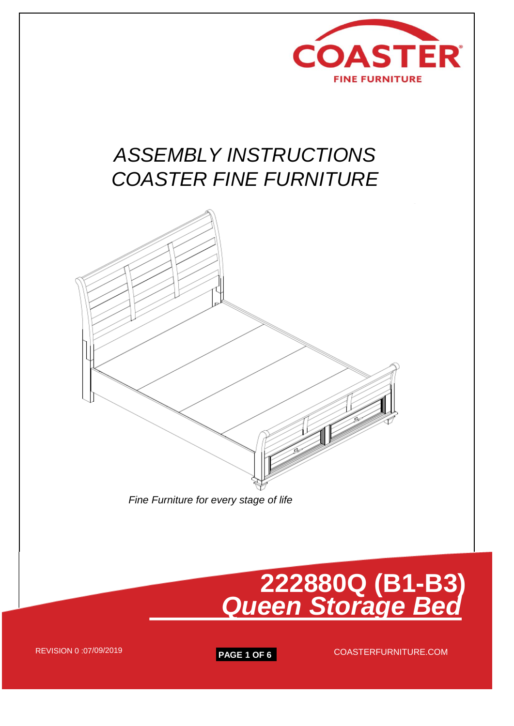

# *ASSEMBLY INSTRUCTIONS COASTER FINE FURNITURE*



 *Fine Furniture for every stage of life*

# **222880Q (B1-B3)** *Queen Storage Bed*

REVISION 0 :07/09/2019

**PAGE 1 OF 6** COASTERFURNITURE.COM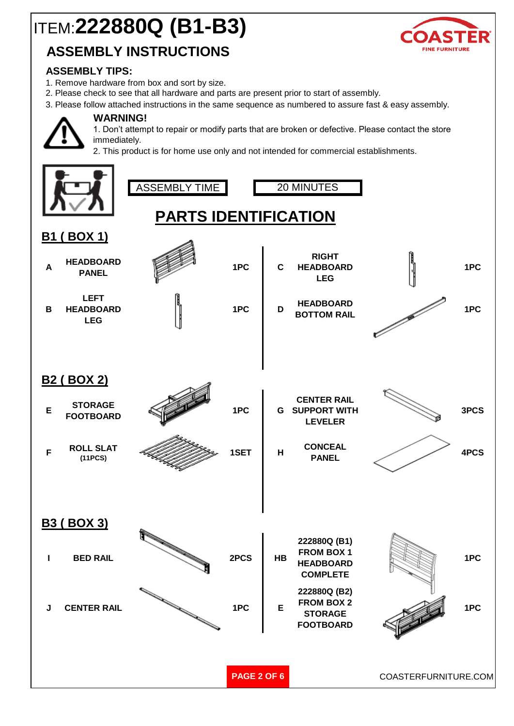# ITEM:**222880Q (B1-B3)**

## **ASSEMBLY INSTRUCTIONS**



### **ASSEMBLY TIPS:**

- 1. Remove hardware from box and sort by size.
- 2. Please check to see that all hardware and parts are present prior to start of assembly.
- 3. Please follow attached instructions in the same sequence as numbered to assure fast & easy assembly.

**WARNING!**

1. Don't attempt to repair or modify parts that are broken or defective. Please contact the store immediately.

2. This product is for home use only and not intended for commercial establishments.

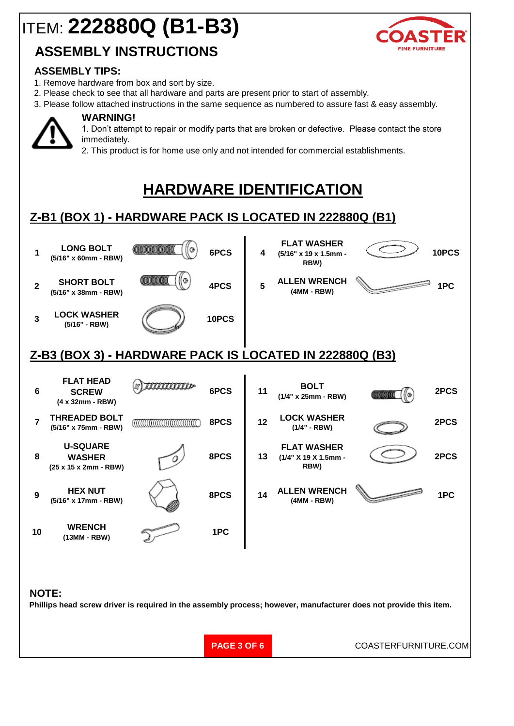# ITEM: **222880Q (B1-B3)**

## **ASSEMBLY INSTRUCTIONS**

### **ASSEMBLY TIPS:**

- 1. Remove hardware from box and sort by size.
- 2. Please check to see that all hardware and parts are present prior to start of assembly.
- 3. Please follow attached instructions in the same sequence as numbered to assure fast & easy assembly.



### **WARNING!**

1. Don't attempt to repair or modify parts that are broken or defective. Please contact the store immediately.

2. This product is for home use only and not intended for commercial establishments.

## **HARDWARE IDENTIFICATION**

## **Z-B1 (BOX 1) - HARDWARE PACK IS LOCATED IN 222880Q (B1)**



### **NOTE:**

**Phillips head screw driver is required in the assembly process; however, manufacturer does not provide this item.**

**PAGE 3 OF 6**

COASTERFURNITURE.COM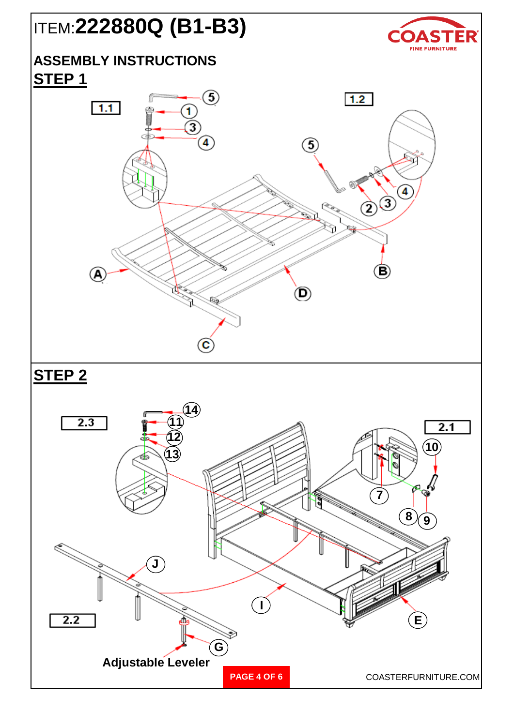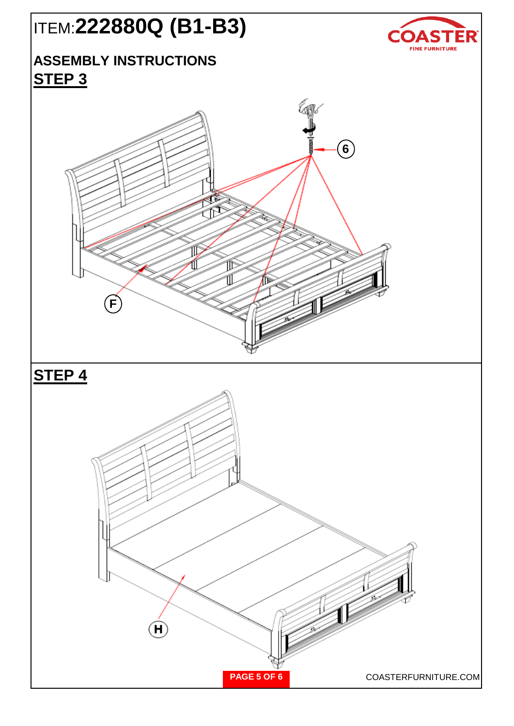